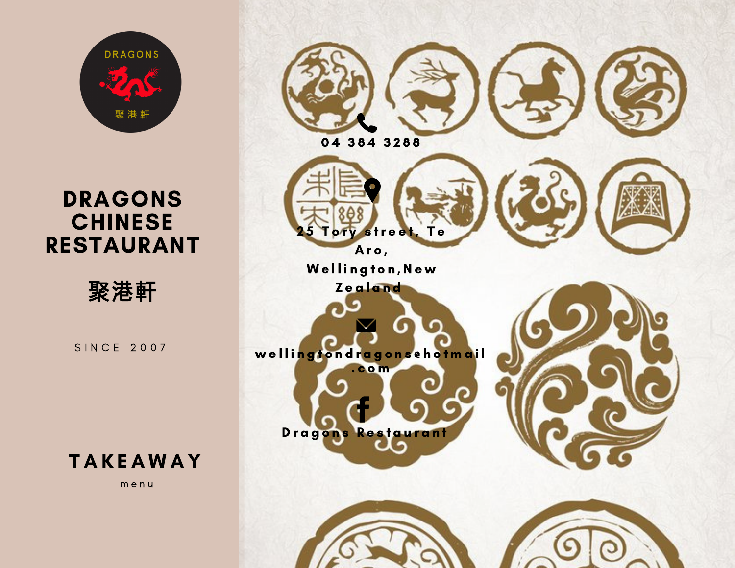

# DRAGONS CHINESE RESTAURANT



S I N C E 2 0 0 7



m e n u